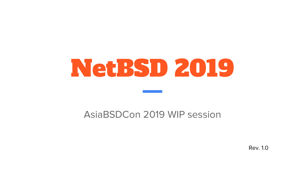# NetBSD 2019

#### AsiaBSDCon 2019 WIP session

Rev. 1.0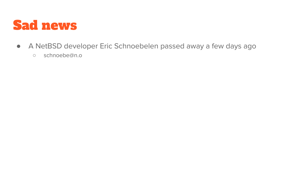

- A NetBSD developer Eric Schnoebelen passed away a few days ago
	- schnoebe@n.o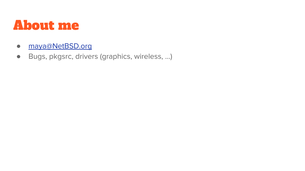#### About me

- [maya@NetBSD.org](mailto:maya@NetBSD.org)
- Bugs, pkgsrc, drivers (graphics, wireless, …)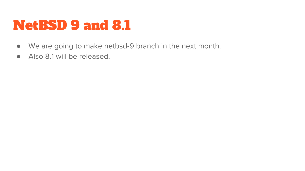### NetBSD 9 and 8.1

- We are going to make netbsd-9 branch in the next month.
- Also 8.1 will be released.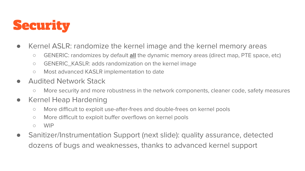

- Kernel ASLR: randomize the kernel image and the kernel memory areas
	- GENERIC: randomizes by default **all** the dynamic memory areas (direct map, PTE space, etc)
	- GENERIC\_KASLR: adds randomization on the kernel image
	- Most advanced KASLR implementation to date
- **Audited Network Stack** 
	- More security and more robustness in the network components, cleaner code, safety measures
- Kernel Heap Hardening
	- More difficult to exploit use-after-frees and double-frees on kernel pools
	- More difficult to exploit buffer overflows on kernel pools
	- WIP
- Sanitizer/Instrumentation Support (next slide): quality assurance, detected dozens of bugs and weaknesses, thanks to advanced kernel support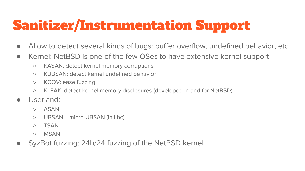# Sanitizer/Instrumentation Support

- Allow to detect several kinds of bugs: buffer overflow, undefined behavior, etc
- Kernel: NetBSD is one of the few OSes to have extensive kernel support
	- KASAN: detect kernel memory corruptions
	- KUBSAN: detect kernel undefined behavior
	- KCOV: ease fuzzing
	- KLEAK: detect kernel memory disclosures (developed in and for NetBSD)
- Userland:
	- ASAN
	- UBSAN + micro-UBSAN (in libc)
	- TSAN
	- MSAN
- SyzBot fuzzing: 24h/24 fuzzing of the NetBSD kernel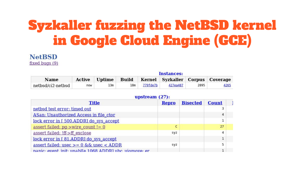### Syzkaller fuzzing the NetBSD kernel in Google Cloud Engine (GCE)

#### **NetBSD** fixed bugs (9)

|                   | Instances: |                      |     |          |                                        |      |      |
|-------------------|------------|----------------------|-----|----------|----------------------------------------|------|------|
| Name              |            | <b>Active</b> Uptime |     |          | Build Kernel Syzkaller Corpus Coverage |      |      |
| netbsd/ci2-netbsd | now        | 13m                  | 18m | 779fde7b | 427ea487                               | 2895 | 4265 |

#### upstream  $(27)$ :

| <b>Title</b>                                          | <b>Repro</b> | <b>Bisected</b> | <b>Count</b> |  |
|-------------------------------------------------------|--------------|-----------------|--------------|--|
| netbsd test error: timed out                          |              |                 |              |  |
| ASan: Unauthorized Access in file ctor                |              |                 |              |  |
| lock error in [ 500.ADDR] do sys_accept               |              |                 |              |  |
| assert failed: $pq$ ->wire count != 0                 | с            |                 | 27           |  |
| assert failed: Iff->ff exclose                        | syz          |                 |              |  |
| lock error in [81.ADDR] do sys accept                 |              |                 |              |  |
| assert failed: $usec > = 0$ & & usec < ADDR           | syz          |                 |              |  |
| nanic: event init: unablfe 1068 ADDR1 ubc ujomove: er |              |                 |              |  |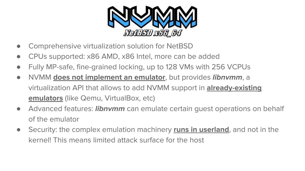

- Comprehensive virtualization solution for NetBSD
- CPUs supported: x86 AMD, x86 Intel, more can be added
- Fully MP-safe, fine-grained locking, up to 128 VMs with 256 VCPUs
- NVMM **does not implement an emulator**, but provides **libnvmm**, a virtualization API that allows to add NVMM support in **already-existing emulators** (like Qemu, VirtualBox, etc)
- Advanced features: **libnvmm** can emulate certain guest operations on behalf of the emulator
- Security: the complex emulation machinery **runs in userland**, and not in the kernel! This means limited attack surface for the host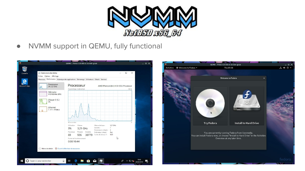

● NVMM support in QEMU, fully functional

| Corbeille      | Gestionnaire des tâches                               | $\times$<br>□                                                                                                                                                                  |  |
|----------------|-------------------------------------------------------|--------------------------------------------------------------------------------------------------------------------------------------------------------------------------------|--|
|                | Fichier Options Affichage                             |                                                                                                                                                                                |  |
|                |                                                       | Processus Performance Historique des applications Démarrage Utilisateurs Détails Services                                                                                      |  |
| Microsoft Edge | Processeur<br>3% 3,21 GHz<br>ıN.                      | Processeur<br>AMD Phenom(tm) II X4 B55 Processor<br>Pourcentage d'utilisation<br>100 %                                                                                         |  |
|                | Mémoire<br>815/1024 Mo (80%)                          |                                                                                                                                                                                |  |
|                | Disque 0 (C:)<br>0%                                   |                                                                                                                                                                                |  |
|                | <b>Ethernet</b><br>E: 0 R: 0 Kbits/s                  |                                                                                                                                                                                |  |
|                |                                                       | 60 secondes<br>Utilisation<br>Vitesse<br>Vitesse de base:<br>3,21 GHz                                                                                                          |  |
|                |                                                       | Sockets:<br>$\mathbf{1}$<br>3%<br>3.21 GHz<br>Processeurs virtuels:<br>3<br><b>Processus</b><br>Threads<br>Handles<br>Ordinateur virtuel :<br>Oui<br>Cache de niveau 1:<br>N/D |  |
|                |                                                       | 69<br>926<br>30779<br>A<br>Durée de fonctionnement<br>0:00:10:44                                                                                                               |  |
|                | Moins de détails (C) Ouvrir le Moniteur de ressources |                                                                                                                                                                                |  |

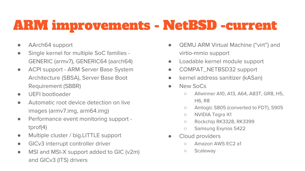# ARM improvements - NetBSD -current

- AArch64 support
- Single kernel for multiple SoC families GENERIC (armv7), GENERIC64 (aarch64)
- ACPI support ARM Server Base System Architecture (SBSA), Server Base Boot Requirement (SBBR)
- UEFI bootloader
- Automatic root device detection on live images (armv7.img, arm64.img)
- Performance event monitoring support tprof(4)
- Multiple cluster / big.LITTLE support
- **•** GICv3 interrupt controller driver
- MSI and MSI-X support added to GIC (v2m) and GICv3 (ITS) drivers
- QEMU ARM Virtual Machine ("virt") and virtio-mmio support
- Loadable kernel module support
- COMPAT\_NETBSD32 support
- kernel address sanitizer (kASan)
- New SoCs
	- Allwinner A10, A13, A64, A83T, GR8, H5, H6, R8
	- Amlogic S805 (converted to FDT), S905
	- NVIDIA Tegra X1
	- Rockchip RK3328, RK3399
	- Samsung Exynos 5422
- Cloud providers
	- o Amazon AWS FC2 a1
	- Scaleway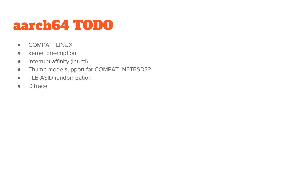### aarch64 TODO

- COMPAT\_LINUX
- kernel preemption
- interrupt affinity (intrctl)
- Thumb mode support for COMPAT\_NETBSD32
- TLB ASID randomization
- DTrace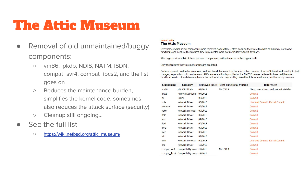### The Attic Museum

- Removal of old unmaintained/buggy components:
	- vm86, ipkdb, NDIS, NATM, ISDN, compat\_svr4, compat\_ibcs2, and the list goes on
	- Reduces the maintenance burden, simplifies the kernel code, sometimes also reduces the attack surface (security)
	- Cleanup still ongoing…
- See the full list
	- [https://wiki.netbsd.org/attic\\_museum/](https://wiki.netbsd.org/attic_museum/)

#### NetRSD Wiki/

#### **The Attic Museum**

Over time, several kernel components were removed from NetBSD, often because they were too hard to maintain, not always functional, and because the features they implemented were not particularly wanted anymore.

This page provides a list of these removed components, with references to the original code.

Only the features that were not superseded are listed.

Each component used to be maintained and functional, but over time became broken because of lack of interest and inability to test changes, especially on old hardware and ABIs. An estimation is provided of the NetBSD release believed to have had the most functional version of each feature, before the feature started deprecating. Note that this estimation may not be totally accurate.

| <b>Component</b> | <b>Category</b>                          |         | <b>Removed Since Most Functional Version</b> | <b>References</b>                      |
|------------------|------------------------------------------|---------|----------------------------------------------|----------------------------------------|
| vm86             | x86 CPU Mode                             | 08/2017 | NetBSD <sub>7</sub>                          | Many, was widespread, not reinstatable |
| ipkdb            | <b>Remote Debugger</b>                   | 07/2018 |                                              | Commit                                 |
| n8               | <b>Driver</b>                            | 08/2018 |                                              | Commit                                 |
| ndis             | <b>Network Driver</b>                    | 08/2018 |                                              | Userland Commit, Kernel Commit         |
| midway           | <b>Network Driver</b>                    | 09/2018 |                                              | Commit                                 |
| natm             | Network Protocol                         | 09/2018 |                                              | Commit                                 |
| daic             | Network Driver                           | 09/2018 |                                              | Commit                                 |
| iavc             | Network Driver                           | 09/2018 |                                              | Commit                                 |
| ifpci            | Network Driver                           | 09/2018 |                                              | Commit                                 |
| ifritz           | <b>Network Driver</b>                    | 09/2018 |                                              | Commit                                 |
| <i>iwic</i>      | Network Driver                           | 09/2018 |                                              | Commit                                 |
| <b>isic</b>      | Network Driver                           | 09/2018 |                                              | Commit                                 |
| isdn             | Network Protocol                         | 09/2018 |                                              | Userland Commit, Kernel Commit         |
| I <sub>mc</sub>  | Network Driver                           | 12/2018 |                                              | Commit                                 |
| compat_svr4      | Compatibility layer 12/2018              |         | NetBSD <sub>4</sub>                          | Commit                                 |
|                  | compat ibcs2 Compatibility layer 12/2018 |         |                                              | Commit                                 |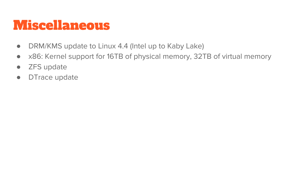#### Miscellaneous

- DRM/KMS update to Linux 4.4 (Intel up to Kaby Lake)
- x86: Kernel support for 16TB of physical memory, 32TB of virtual memory
- **ZFS** update
- DTrace update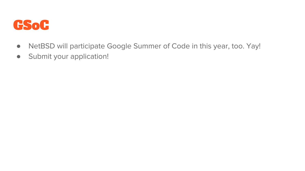

- NetBSD will participate Google Summer of Code in this year, too. Yay!
- Submit your application!